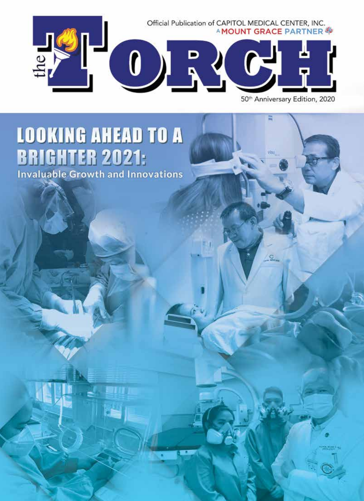

50<sup>th</sup> Anniversary Edition, 2020

Ξ

O

# **LOOKING AHEAD TO A BRIGHTER 2021:**<br>Invaluable Growth and Innovations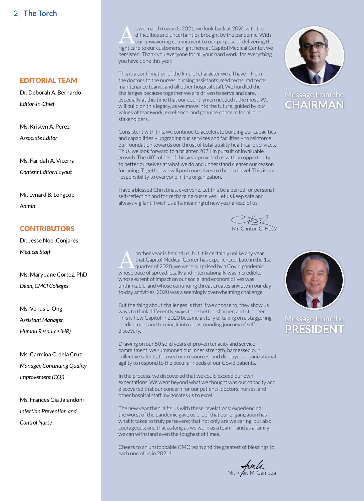### **EDITORIAL TEAM**

Dr. Deborah A. Bernardo *Editor-In-Chief*

Ms. Kristyn A. Perez *Associate Editor*

Ms. Faridah A. Vicerra *Content Editor/Layout*

Mr. Lynard B. Longcop *Admin*

### **CONTRIBUTORS**

Dr. Jesse Noel Conjares *Medical Staff*

Ms. Mary Jane Cortez, PhD *Dean, CMCI Colleges*

Ms. Venus L. Ong *Assistant Manager, Human Resource (HR)*

Ms. Carmina C. dela Cruz *Manager, Continuing Quality Improvement (CQI)*

Ms. Frances Gia Jalandoni *Infection Prevention and Control Nurse*

s we march towards 2021, we look back at 2020 with the<br>difficulties and uncertainties brought by the pandemic. With<br>our unwavering commitment to our purpose of delivering the<br>right can be our customers sight here at Capita difficulties and uncertainties brought by the pandemic. With right care to our customers, right here at Capitol Medical Center, we persisted. Thank you everyone for all your hard work, for everything you have done this year.

This is a confirmation of the kind of character we all have – from the doctors to the nurses, nursing assistants, med techs, rad techs, maintenance teams, and all other hospital staff. We hurdled the challenges because together we are driven to serve and care, especially at this time that our countrymen needed it the most. We will build on this legacy, as we move into the future, guided by our values of teamwork, excellence, and genuine concern for all our stakeholders.

Consistent with this, we continue to accelerate building our capacities and capabilities – upgrading our services and facilities – to reinforce our foundation towards our thrust of total quality healthcare services. Thus, we look forward to a brighter 2021 in pursuit of invaluable growth. The difficulties of this year provided us with an opportunity to better ourselves at what we do and understand clearer our reason for being. Together we will push ourselves to the next level. This is our responsibility to everyone in the organization.

Have a blessed Christmas, everyone. Let this be a period for personal self-reflection and for recharging ourselves. Let us keep safe and always vigilant. I wish us all a meaningful new year ahead of us.

**CELL**<br>Mr. Clinton C. Hess

nother year is behind us, but it is certainly unlike any year<br>
that Capitol Medical Center has experienced. Late in the<br>
quarter of 2020, we were surprised by a Covid pandemic<br>
whose pase of spread locally and internationa that Capitol Medical Center has experienced. Late in the 1st whose pace of spread locally and internationally was incredible, whose extent of impact on our social and economic lives was unthinkable, and whose continuing threat creates anxiety in our dayto-day activities. 2020 was a seemingly overwhelming challenge.

But the thing about challenges is that if we choose to, they show us ways to think differently, ways to be better, sharper, and stronger. This is how Capitol in 2020 became a story of taking on a staggering predicament and turning it into an astounding journey of selfdiscovery.

Drawing on our 50 solid years of proven tenacity and service commitment, we summoned our inner strength, harnessed our collective talents, focused our resources, and displayed organizational agility to respond to the peculiar needs of our Covid patients.

In the process, we discovered that we could exceed our own expectations. We went beyond what we thought was our capacity and discovered that our concern for our patients, doctors, nurses, and other hospital staff invigorates us to excel.

The new year then, gifts us with these revelations: experiencing the worst of the pandemic gave us proof that our organization has what it takes to truly persevere; that not only are we caring, but also courageous; and that as long as we work as a team – and as a family – we can withstand even the toughest of times.

Cheers to an unstoppable CMC team and the greatest of blessings to each one of us in 2021!

Mr. Rhais M. Gamboa



**CHAIRMAN** Message from the



PRESIDENT Message from the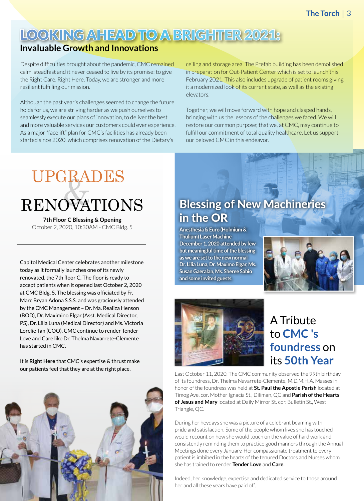### LOOKING AHEAD TO A BRIGHTER 2021:

### **Invaluable Growth and Innovations**

Despite difficulties brought about the pandemic, CMC remained calm, steadfast and it never ceased to live by its promise: to give the Right Care, Right Here. Today, we are stronger and more resilient fulfilling our mission.

Although the past year's challenges seemed to change the future holds for us, we are striving harder as we push ourselves to seamlessly execute our plans of innovation, to deliver the best and more valuable services our customers could ever experience. As a major "facelift" plan for CMC's facilities has already been started since 2020, which comprises renovation of the Dietary's

ceiling and storage area. The Prefab building has been demolished in preparation for Out-Patient Center which is set to launch this February 2021. This also includes upgrade of patient rooms giving it a modernized look of its current state, as well as the existing elevators.

Together, we will move forward with hope and clasped hands, bringing with us the lessons of the challenges we faced. We will restore our common purpose; that we, at CMC, may continue to fulfill our commitment of total quality healthcare. Let us support our beloved CMC in this endeavor.

## & RENOVATIONS UPGRADES

**7th Floor C Blessing & Opening**  October 2, 2020, 10:30AM - CMC Bldg. 5

Capitol Medical Center celebrates another milestone today as it formally launches one of its newly renovated, the 7th floor C. The floor is ready to accept patients when it opened last October 2, 2020 at CMC Bldg. 5. The blessing was officiated by Fr. Marc Bryan Adona S.S.S. and was graciously attended by the CMC Management – Dr. Ma. Realiza Henson (BOD), Dr. Maximino Elgar (Asst. Medical Director, PS), Dr. Lilia Luna (Medical Director) and Ms. Victoria Lorelie Tan (COO). CMC continue to render Tender Love and Care like Dr. Thelma Navarrete-Clemente has started in CMC.

It is **Right Here** that CMC's expertise & thrust make our patients feel that they are at the right place.



### Blessing of New Machineries in the OR

**Anesthesia & Euro (Holmium & Thulium) Laser Machine December 1, 2020 attended by few but meaningful time of the blessing as we are set to the new normal Dr. Lilia Luna, Dr. Maximo Elgar, Ms. Susan Gaeralan, Ms. Sheree Sabio and some invited guests.**





A Tribute to **CMC 's foundress** on its **50th Year**

Last October 11, 2020, The CMC community observed the 99th birthday of its foundress, Dr. Thelma Navarrete-Clemente, M.D.M.H.A. Masses in honor of the foundress was held at **St. Paul the Apostle Parish** located at Timog Ave. cor. Mother Ignacia St., Diliman, QC and **Parish of the Hearts of Jesus and Mary** located at Daily Mirror St. cor. Bulletin St., West Triangle, QC.

During her heydays she was a picture of a celebrant beaming with pride and satisfaction. Some of the people whom lives she has touched would recount on how she would touch on the value of hard work and consistently reminding them to practice good manners through the Annual Meetings done every January. Her compassionate treatment to every patient is imbibed in the hearts of the tenured Doctors and Nurses whom she has trained to render **Tender Love** and **Care**.

Indeed, her knowledge, expertise and dedicated service to those around her and all these years have paid off.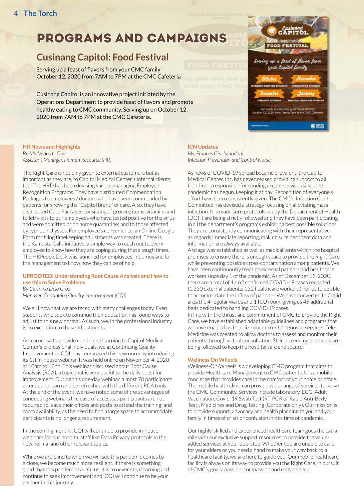### PROGRAMS AND CAMPAIGNS

### **Cusinang Capitol: Food Festival**

Serving up a feast of flavors from your CMC family October 12, 2020 from 7AM to 7PM at the CMC Cafeteria

Cusinang Capitol is an innovative project initiated by the Operations Department to provide feast of flavors and promote healthy eating to CMC community. Serving up on October 12, 2020 from 7AM to 7PM at the CMC Cafeteria.

#### **HR News and Highlights** *By Ms. Venus L. Ong Assistant Manager, Human Resource (HR)*

The Right Care is not only given to external customers but as important as they are, to Capitol Medical Center's internal clients, too. The HRD has been devising various managing Employee Recognition Programs. They have distributed Commendation Packages to employees / doctors who have been commended by patients for showing the "Capitol brand" of care. Also, they have distributed Care Packages consisting of grocery items, vitamins and toiletry kits to our employees who have tested positive for the virus and were admitted or on home quarantine; and to those affected by typhoon Ulysses. For employee's convenience, an Online Google Form for filing timekeeping adjustments was created. There is the Kamusta Calls initiative, a simple way to reach out to every employee to know how they are coping during these tough times. The HRPeopleDesk was launched for employees' inquiries and for the management to know how they can be of help.

### **UPROOTED: Understanding Root Cause Analysis and How to use this to Solve Problems**

*By Carmina Dela Cruz Manager, Continuing Quality Improvement (CQI)*

We all know that we are faced with many challenges today. Even students who seek to continue their education has found ways to adjust to this new normal. As such, we, in the professional industry, is no exception to these adjustments.

As a promise to provide continuing learning to Capitol Medical Center's professional individuals, we at Continuing Quality Improvement or CQI, have embraced this new norm by introducing its 1st in-house webinar. It was held online on November 4, 2020 at 10am to 12nn. This webinar discussed about Root Cause Analysis (RCA), a topic that is very useful to the daily quest for improvement. During this one-day webinar, almost 70 participants attended to learn and be refreshed with the different RCA tools. At the end of the event, we have noted some of the advantages of conducting webinars like ease of access, as participants are not required to leave their offices and posts to attend the training; and room availability, as the need to find a large space to accommodate participants is no longer a requirement.

In the coming months, CQI will continue to provide in-house webinars for our hospital staff like Data Privacy protocols in the new normal and other relevant topics.

While we are blind to when we will see this pandemic comes to a close, we become much more resilient. If there is something good that this pandemic taught us, it is to never stop learning and continue to seek improvement; and, CQI will continue to be your partner in this journey.

# up a feast of flavor from in ready to celebrate great for<br>12, 2020 from Tam to 7pm at t **Cam**

### **ICN Updates**

*Ms. Frances Gia Jalandoni Infection Prevention and Control Nurse*

As news of COVID-19 spread became prevalent, the Capitol Medical Center, Inc. has never ceased providing support to all frontliners responsible for rending urgent services since the pandemic has begun, keeping it at bay. Recognition of everyone's effort have been consistently given. The CMC's Infection Control Committee has devised a strategy focusing on alleviating mass infection. It is made sure protocols set by the Department of Health (DOH) are being strictly followed and they have been participating in all the department's programs exhibiting best possible solutions. They are consistently communicating with their representative as regards immediate reporting, making sure pertinent data and information are always available.

A triage was established as well as medical tents within the hospital premises to ensure there is enough space to provide the Right Care while preventing possible cross-contamination among patients. We have been continuously treating external patients and healthcare workers since day 1 of the pandemic. As of December 15, 2020, there are a total of 1,462 confirmed COVID-19 cases recorded (1,330 external patients; 132 healthcare workers.) For us to be able to accommodate the inflow of patients. We have converted to Covid area the 4 regular wards and 1 ICU room, giving us 45 additional beds dedicated to handling COVID-19 cases.

In line with the thrust and commitment of CMC to provide the Right Care, we have established adaptable guidelines and programs that we have enabled us to utilize our current diagnostic services. Tele-Medicine was created to allow doctors to assess and monitor their patients through virtual consultation. Strict screening protocols are being followed to keep the hospital safe and secure.

### **Wellness On Wheels**

Wellness-On-Wheels is a developing CMC program that aims to provide Healthcare Management to CMC patients. It is a mobile concierge that provides care in the comfort of your home or office. The mobile health clinic can provide wide range of services to serve the CMC Community. Services include laboratory, ECG, Adult Vaccination, Covid-19 Swab Test (RT-PCR or Rapid Anti-Body Test), Medicines and Drug Testing (Corporate only). Our mission is to provide support, advocacy and health planning to you and your family in times of crisis or confusion in this time of pandemic.

Our highly-skilled and experienced healthcare team goes the extra mile with our exclusive support resources to provide the valueadded services at your doorstep. Whether you are unable to care for your elders or you need a hand to make your way back to a healthcare facility, we are here to guide you. Our mobile healthcare facility is always on its way to provide you the Right Care, in pursuit of CMC's goals: passion, compassion and convenience.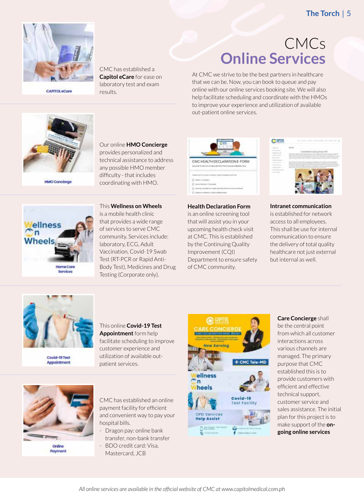

**CAPITOLeCare** 

CMC has established a **Capitol eCare** for ease on laboratory test and exam results.

### CMCs **Online Services**

At CMC we strive to be the best partners in healthcare that we can be. Now, you can book to queue and pay online with our online services booking site. We will also help facilitate scheduling and coordinate with the HMOs to improve your experience and utilization of available out-patient online services.



**HMO Concierge** 



Our online **HMO Concierge** provides personalized and technical assistance to address any possible HMO member difficulty - that includes coordinating with HMO.

This **Wellness on Wheels** is a mobile health clinic that provides a wide range of services to serve CMC community. Services include: laboratory, ECG, Adult Vaccination, Covid-19 Swab Test (RT-PCR or Rapid Anti-Body Test), Medicines and Drug Testing (Corporate only).



**Health Declaration Form** is an online screening tool that will assist you in your upcoming health check visit at CMC. This is established by the Continuing Quality Improvement (CQI) Department to ensure safety of CMC community.



**Intranet communication** is established for network access to all employees. This shall be use for internal communication to ensure the delivery of total quality healthcare not just external but internal as well.



Covid-19 Test Appointment

This online **Covid-19 Test Appointment** form help facilitate scheduling to improve customer experience and utilization of available outpatient services.



Payment

CMC has established an online payment facility for efficient and convenient way to pay your hospital bills.

- Dragon pay: online bank transfer, non-bank transfer
- BDO credit card: Visa, Mastercard, JCB



**Care Concierge** shall be the central point from which all customer interactions across various channels are managed. The primary purpose that CMC established this is to provide customers with efficient and effective technical support, customer service and sales assistance. The initial plan for this project is to make support of the **ongoing online services**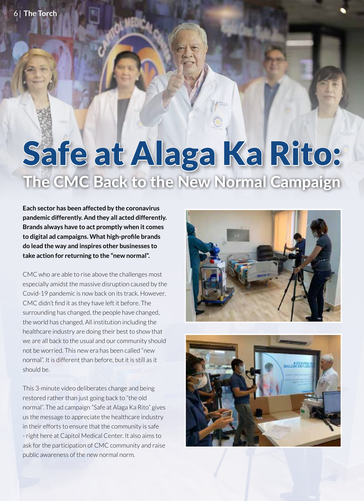# Safe at Alaga Ka Rito: The CMC Back to the New Normal Campaign

**Each sector has been affected by the coronavirus pandemic differently. And they all acted differently. Brands always have to act promptly when it comes to digital ad campaigns. What high-profile brands do lead the way and inspires other businesses to take action for returning to the "new normal".** 

CMC who are able to rise above the challenges most especially amidst the massive disruption caused by the Covid-19 pandemic is now back on its track. However, CMC didn't find it as they have left it before. The surrounding has changed, the people have changed, the world has changed. All institution including the healthcare industry are doing their best to show that we are all back to the usual and our community should not be worried. This new era has been called "new normal". It is different than before, but it is still as it should be.

This 3-minute video deliberates change and being restored rather than just going back to "the old normal". The ad campaign "Safe at Alaga Ka Rito" gives us the message to appreciate the healthcare industry in their efforts to ensure that the community is safe - right here at Capitol Medical Center. It also aims to ask for the participation of CMC community and raise public awareness of the new normal norm.



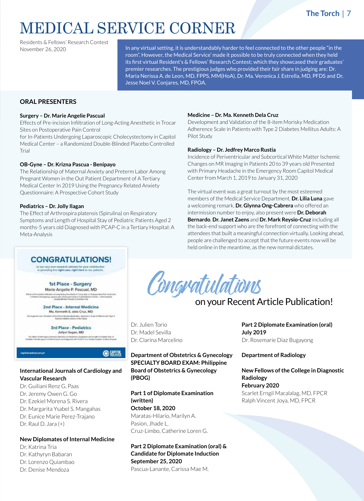### MEDICAL SERVICE CORNER

Residents & Fellows' Research Contest November 26, 2020

In any virtual setting, it is understandably harder to feel connected to the other people "in the room". However, the Medical Service' made it possible to be truly connected when they held its first virtual Resident's & Fellows' Research Contest; which they showcased their graduates' premier researches. The prestigious judges who provided their fair share in judging are: Dr. Maria Nerissa A. de Leon, MD, FPPS, MM(HoA), Dr. Ma. Veronica J. Estrella, MD, PFDS and Dr. Jesse Noel V. Conjares, MD, FPOA.

### **ORAL PRESENTERS**

#### **Surgery – Dr. Marie Angelie Pascual**

Effects of Pre-incision Infiltration of Long-Acting Anesthetic in Trocar Sites on Postoperative Pain Control

for In-Patients Undergoing Laparoscopic Cholecystectomy in Capitol Medical Center – a Randomized Double-Blinded Placebo Controlled Trial

#### **OB-Gyne – Dr. Krizna Pascua - Benipayo**

The Relationship of Maternal Anxiety and Preterm Labor Among Pregnant Women in the Out Patient Department of A Tertiary Medical Center In 2019 Using the Pregnancy Related Anxiety Questionnaire: A Prospective Cohort Study

#### **Pediatrics – Dr. Jolly Ilagan**

The Effect of Arthrospira platensis (Spirulina) on Respiratory Symptoms and Length of Hospital Stay of Pediatric Patients Aged 2 months-5 years old Diagnosed with PCAP-C in a Tertiary Hospital: A Meta-Analysis

#### **Medicine – Dr. Ma. Kenneth Dela Cruz**

Development and Validation of the 8-item Morisky Medication Adherence Scale in Patients with Type 2 Diabetes Mellitus Adults: A Pilot Study

### **Radiology – Dr. Jedfrey Marco Rustia**

Incidence of Periventricular and Subcortical White Matter Ischemic Changes on MR Imaging in Patients 20 to 39 years old Presented with Primary Headache in the Emergency Room Capitol Medical Center from March 1, 2019 to January 31, 2020

The virtual event was a great turnout by the most esteemed members of the Medical Service Department. **Dr. Lilia Luna** gave a welcoming remark, **Dr. Glynna Ong-Cabrera** who offered an intermission number to enjoy, also present were **Dr. Deborah Bernardo**, **Dr. Janet Zaens** and **Dr. Mark Reysio-Cruz** including all the back-end support who are the forefront of connecting with the attendees that built a meaningful connection virtually. Looking ahead, people are challenged to accept that the future events now will be held online in the meantime, as the new normal dictates.

### **CONGRATULATIONS!**

to our very own research winners for your contribution<br>in providing the right care, right here to our petients

1st Place - Surgery Marie Angelie P. Pascual, MD

2nd Place - Internal Medicine Ma. Kenneth S. dela Cruz, MD of the Billion Montaby Modeships Authors<br>Natives Addition Atlanta & New Mode

**3rd Place - Pediatrics** Jollyvi Ilegan, MD

(全盟照)

### **International Journals of Cardiology and Vascular Research**

Dr. Guiliani Renz G. Paas Dr. Jeremy Owen G. Go Dr. Ezekiel Morena S. Rivera Dr. Margarita Ysabel S. Mangahas Dr. Eunice Marie Perez-Trajano Dr. Raul D. Jara (+)

### **New Diplomates of Internal Medicine**

Dr. Katrina Tria Dr. Kathyryn Babaran Dr. Lorenzo Quiambao Dr. Denise Mendoza

Congratulations

### on your Recent Article Publication!

Dr. Julien Torio Dr. Madel Sevilla Dr. Clarina Marcelino

### **Department of Obstetrics & Gynecology SPECIALTY BOARD EXAM: Philippine Board of Obstetrics & Gynecology (PBOG)**

**Part 1 of Diplomate Examination (written) October 18, 2020** Maratas-Hilario, Marilyn A. Pasion, Jhade L. Cruz-Limbo, Catherine Loren G.

**Part 2 Diplomate Examination (oral) & Candidate for Diplomate Induction September 25, 2020** Pascua-Lanante, Carissa Mae M.

**Part 2 Diplomate Examination (oral) July 2019** Dr. Rosemarie Diaz Bugayong

### **Department of Radiology**

**New Fellows of the College in Diagnostic Radiology February 2020** Scarlet Erngil Macalalag, MD, FPCR Ralph Vincent Joya, MD, FPCR